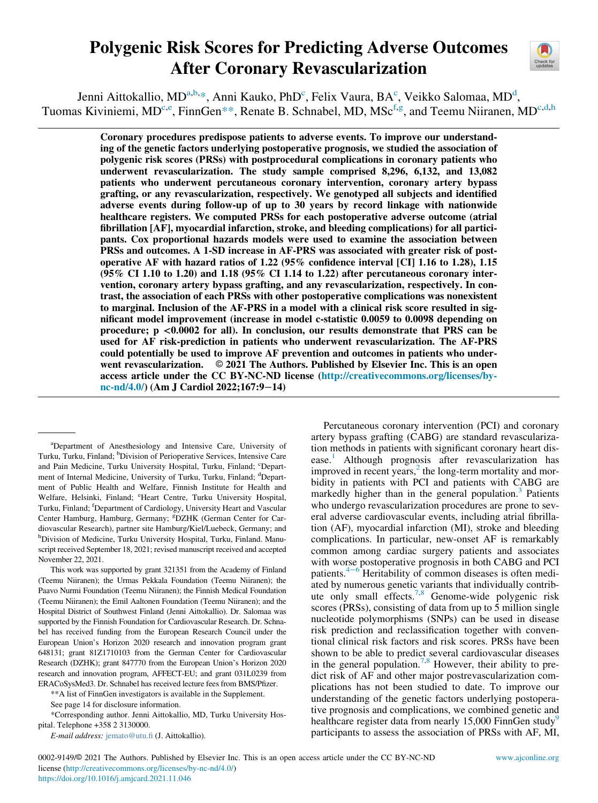## Polygenic Risk Scores for Predicting Adverse Outcomes After Coronary Revascularization



Jenni Aittokallio, MD $^{a,b,*}$ , Anni Kauko, PhD $^{\circ}$ , Felix Vaura, BA $^{\circ}$ , Veikko Salomaa, MD $^d$ , Tuomas Kiviniemi, MD<sup>c,e</sup>, FinnGen<sup>\*\*</sup>, Renate B. Schnabel, MD, MSc<sup>f,g</sup>, and Teemu Niiranen, MD<sup>c,d,h</sup>

> Coronary procedures predispose patients to adverse events. To improve our understanding of the genetic factors underlying postoperative prognosis, we studied the association of polygenic risk scores (PRSs) with postprocedural complications in coronary patients who underwent revascularization. The study sample comprised 8,296, 6,132, and 13,082 patients who underwent percutaneous coronary intervention, coronary artery bypass grafting, or any revascularization, respectively. We genotyped all subjects and identified adverse events during follow-up of up to 30 years by record linkage with nationwide healthcare registers. We computed PRSs for each postoperative adverse outcome (atrial fibrillation [AF], myocardial infarction, stroke, and bleeding complications) for all participants. Cox proportional hazards models were used to examine the association between PRSs and outcomes. A 1-SD increase in AF-PRS was associated with greater risk of postoperative AF with hazard ratios of 1.22 (95% confidence interval [CI] 1.16 to 1.28), 1.15  $(95\% \text{ CI } 1.10 \text{ to } 1.20)$  and  $1.18 \, (95\% \text{ CI } 1.14 \text{ to } 1.22)$  after percutaneous coronary intervention, coronary artery bypass grafting, and any revascularization, respectively. In contrast, the association of each PRSs with other postoperative complications was nonexistent to marginal. Inclusion of the AF-PRS in a model with a clinical risk score resulted in significant model improvement (increase in model c-statistic 0.0059 to 0.0098 depending on procedure; p <0.0002 for all). In conclusion, our results demonstrate that PRS can be used for AF risk-prediction in patients who underwent revascularization. The AF-PRS could potentially be used to improve AF prevention and outcomes in patients who underwent revascularization.  $\circ$  2021 The Authors. Published by Elsevier Inc. This is an open access article under the CC BY-NC-ND license ([http://creativecommons.org/licenses/by](http://creativecommons.org/licenses/by-nc-nd/4.0/)[nc-nd/4.0/\)](http://creativecommons.org/licenses/by-nc-nd/4.0/) (Am J Cardiol 2022;167:9−14)

a Department of Anesthesiology and Intensive Care, University of Turku, Turku, Finland; <sup>b</sup>Division of Perioperative Services, Intensive Care and Pain Medicine, Turku University Hospital, Turku, Finland; CDepartment of Internal Medicine, University of Turku, Turku, Finland; <sup>d</sup>Department of Public Health and Welfare, Finnish Institute for Health and Welfare, Helsinki, Finland; <sup>e</sup>Heart Centre, Turku University Hospital, Turku, Finland; <sup>f</sup>Department of Cardiology, University Heart and Vascular Center Hamburg, Hamburg, Germany; <sup>g</sup>DZHK (German Center for Cardiovascular Research), partner site Hamburg/Kiel/Luebeck, Germany; and h<br>Division of Medicine, Turku University Hospital, Turku, Finland. Manuscript received September 18, 2021; revised manuscript received and accepted November 22, 2021.

This work was supported by grant 321351 from the Academy of Finland (Teemu Niiranen); the Urmas Pekkala Foundation (Teemu Niiranen); the Paavo Nurmi Foundation (Teemu Niiranen); the Finnish Medical Foundation (Teemu Niiranen); the Emil Aaltonen Foundation (Teemu Niiranen); and the Hospital District of Southwest Finland (Jenni Aittokallio). Dr. Salomaa was supported by the Finnish Foundation for Cardiovascular Research. Dr. Schnabel has received funding from the European Research Council under the European Union's Horizon 2020 research and innovation program grant 648131; grant 81Z1710103 from the German Center for Cardiovascular Research (DZHK); grant 847770 from the European Union's Horizon 2020 research and innovation program, AFFECT-EU; and grant 031L0239 from ERACoSysMed3. Dr. Schnabel has received lecture fees from BMS/Pfizer.

\*\*A list of FinnGen investigators is available in the Supplement.

See page 14 for disclosure information.

<span id="page-0-0"></span>\*Corresponding author. Jenni Aittokallio, MD, Turku University Hospital. Telephone +358 2 3130000.

E-mail address: [jemato@utu.fi](mailto:jemato@utu.fi) (J. Aittokallio).

Percutaneous coronary intervention (PCI) and coronary artery bypass grafting (CABG) are standard revascularization methods in patients with significant coronary heart disease.[1](#page-5-0) Although prognosis after revascularization has improved in recent years, $<sup>2</sup>$  the long-term mortality and mor-</sup> bidity in patients with PCI and patients with CABG are markedly higher than in the general population. $3$  Patients who undergo revascularization procedures are prone to several adverse cardiovascular events, including atrial fibrillation (AF), myocardial infarction (MI), stroke and bleeding complications. In particular, new-onset AF is remarkably common among cardiac surgery patients and associates with wo[rse p](#page-5-3)ostoperative prognosis in both CABG and PCI patients.4−<sup>6</sup> Heritability of common diseases is often mediated by numerous genetic variants that individually contrib-ute only small effects.<sup>[7](#page-5-4)[,8](#page-5-5)</sup> Genome-wide polygenic risk scores (PRSs), consisting of data from up to 5 million single nucleotide polymorphisms (SNPs) can be used in disease risk prediction and reclassification together with conventional clinical risk factors and risk scores. PRSs have been shown to be able to predict several cardiovascular diseases in the general population.<sup>[7,](#page-5-4)[8](#page-5-5)</sup> However, their ability to predict risk of AF and other major postrevascularization complications has not been studied to date. To improve our understanding of the genetic factors underlying postoperative prognosis and complications, we combined genetic and healthcare register data from nearly 15,000 FinnGen study<sup>[9](#page-5-6)</sup> participants to assess the association of PRSs with AF, MI,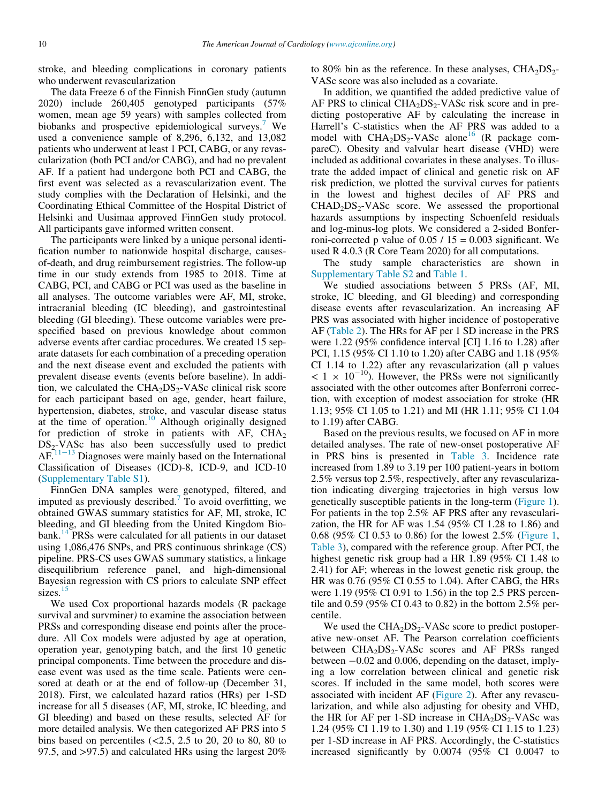stroke, and bleeding complications in coronary patients who underwent revascularization

The data Freeze 6 of the Finnish FinnGen study (autumn 2020) include 260,405 genotyped participants (57% women, mean age 59 years) with samples collected from biobanks and prospective epidemiological surveys.<sup>[7](#page-5-4)</sup> We used a convenience sample of 8,296, 6,132, and 13,082 patients who underwent at least 1 PCI, CABG, or any revascularization (both PCI and/or CABG), and had no prevalent AF. If a patient had undergone both PCI and CABG, the first event was selected as a revascularization event. The study complies with the Declaration of Helsinki, and the Coordinating Ethical Committee of the Hospital District of Helsinki and Uusimaa approved FinnGen study protocol. All participants gave informed written consent.

The participants were linked by a unique personal identification number to nationwide hospital discharge, causesof-death, and drug reimbursement registries. The follow-up time in our study extends from 1985 to 2018. Time at CABG, PCI, and CABG or PCI was used as the baseline in all analyses. The outcome variables were AF, MI, stroke, intracranial bleeding (IC bleeding), and gastrointestinal bleeding (GI bleeding). These outcome variables were prespecified based on previous knowledge about common adverse events after cardiac procedures. We created 15 separate datasets for each combination of a preceding operation and the next disease event and excluded the patients with prevalent disease events (events before baseline). In addition, we calculated the  $CHA<sub>2</sub>DS<sub>2</sub>-VASc$  clinical risk score for each participant based on age, gender, heart failure, hypertension, diabetes, stroke, and vascular disease status at the time of operation.<sup>[10](#page-5-7)</sup> Although originally designed for prediction of stroke in patients with AF,  $CHA<sub>2</sub>$  $DS<sub>2</sub>-VASc$  has also been successfully used to predict AF.<sup>11−13</sup> Diagnoses were mainly based on the International Classification of Diseases (ICD)-8, ICD-9, and ICD-10 [\(Supplementary Table S1\)](#page-5-9).

FinnGen DNA samples were genotyped, filtered, and imputed as previously described.<sup>[7](#page-5-4)</sup> To avoid overfitting, we obtained GWAS summary statistics for AF, MI, stroke, IC bleeding, and GI bleeding from the United Kingdom Bio-bank.<sup>[14](#page-5-10)</sup> PRSs were calculated for all patients in our dataset using 1,086,476 SNPs, and PRS continuous shrinkage (CS) pipeline. PRS-CS uses GWAS summary statistics, a linkage disequilibrium reference panel, and high-dimensional Bayesian regression with CS priors to calculate SNP effect sizes. $15$ 

We used Cox proportional hazards models (R package survival and survminer) to examine the association between PRSs and corresponding disease end points after the procedure. All Cox models were adjusted by age at operation, operation year, genotyping batch, and the first 10 genetic principal components. Time between the procedure and disease event was used as the time scale. Patients were censored at death or at the end of follow-up (December 31, 2018). First, we calculated hazard ratios (HRs) per 1-SD increase for all 5 diseases (AF, MI, stroke, IC bleeding, and GI bleeding) and based on these results, selected AF for more detailed analysis. We then categorized AF PRS into 5 bins based on percentiles  $\left($  < 2.5, 2.5 to 20, 20 to 80, 80 to 97.5, and  $>97.5$ ) and calculated HRs using the largest  $20\%$ 

to 80% bin as the reference. In these analyses,  $CHA<sub>2</sub>DS<sub>2</sub>$ -VASc score was also included as a covariate.

In addition, we quantified the added predictive value of AF PRS to clinical  $CHA<sub>2</sub>DS<sub>2</sub>-VASc$  risk score and in predicting postoperative AF by calculating the increase in Harrell's C-statistics when the AF PRS was added to a model with  $CHA<sub>2</sub>DS<sub>2</sub>-VASc$  alone<sup>[16](#page-5-12)</sup> (R package compareC). Obesity and valvular heart disease (VHD) were included as additional covariates in these analyses. To illustrate the added impact of clinical and genetic risk on AF risk prediction, we plotted the survival curves for patients in the lowest and highest deciles of AF PRS and  $CHAD<sub>2</sub>DS<sub>2</sub>-VASc$  score. We assessed the proportional hazards assumptions by inspecting Schoenfeld residuals and log-minus-log plots. We considered a 2-sided Bonferroni-corrected p value of  $0.05 / 15 = 0.003$  significant. We used R 4.0.3 (R Core Team 2020) for all computations.

The study sample characteristics are shown in [Supplementary Table S2](#page-5-9) and [Table 1.](#page-2-0)

We studied associations between 5 PRSs (AF, MI, stroke, IC bleeding, and GI bleeding) and corresponding disease events after revascularization. An increasing AF PRS was associated with higher incidence of postoperative AF [\(Table 2](#page-2-1)). The HRs for AF per 1 SD increase in the PRS were 1.22 (95% confidence interval [CI] 1.16 to 1.28) after PCI, 1.15 (95% CI 1.10 to 1.20) after CABG and 1.18 (95% CI 1.14 to  $1.22$ ) after any revascularization (all p values  $< 1 \times 10^{-10}$ ). However, the PRSs were not significantly associated with the other outcomes after Bonferroni correction, with exception of modest association for stroke (HR 1.13; 95% CI 1.05 to 1.21) and MI (HR 1.11; 95% CI 1.04 to 1.19) after CABG.

Based on the previous results, we focused on AF in more detailed analyses. The rate of new-onset postoperative AF in PRS bins is presented in [Table 3](#page-3-0). Incidence rate increased from 1.89 to 3.19 per 100 patient-years in bottom 2.5% versus top 2.5%, respectively, after any revascularization indicating diverging trajectories in high versus low genetically susceptible patients in the long-term [\(Figure 1](#page-4-0)). For patients in the top 2.5% AF PRS after any revascularization, the HR for AF was 1.54 (95% CI 1.28 to 1.86) and 0.68 (95% CI 0.53 to 0.86) for the lowest 2.5% [\(Figure 1](#page-4-0), [Table 3](#page-3-0)), compared with the reference group. After PCI, the highest genetic risk group had a HR 1.89 (95% CI 1.48 to 2.41) for AF; whereas in the lowest genetic risk group, the HR was 0.76 (95% CI 0.55 to 1.04). After CABG, the HRs were 1.19 (95% CI 0.91 to 1.56) in the top 2.5 PRS percentile and 0.59 (95% CI 0.43 to 0.82) in the bottom 2.5% percentile.

We used the  $CHA<sub>2</sub>DS<sub>2</sub>-VASc$  score to predict postoperative new-onset AF. The Pearson correlation coefficients between  $CHA<sub>2</sub>DS<sub>2</sub>-VASc$  scores and AF PRSs ranged between  $-0.02$  and 0.006, depending on the dataset, implying a low correlation between clinical and genetic risk scores. If included in the same model, both scores were associated with incident AF ([Figure 2](#page-4-1)). After any revascularization, and while also adjusting for obesity and VHD, the HR for AF per 1-SD increase in  $CHA<sub>2</sub>DS<sub>2</sub>-VASc$  was 1.24 (95% CI 1.19 to 1.30) and 1.19 (95% CI 1.15 to 1.23) per 1-SD increase in AF PRS. Accordingly, the C-statistics increased significantly by 0.0074 (95% CI 0.0047 to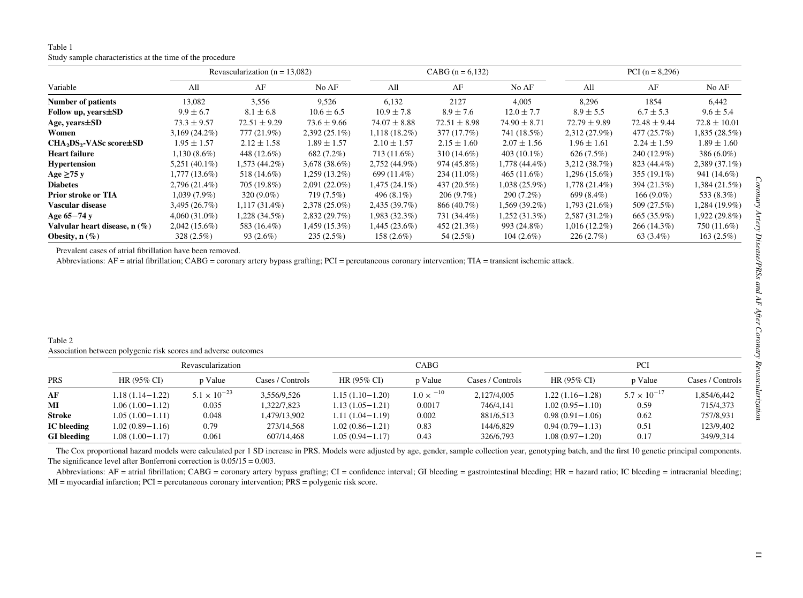| Table 1                                                   |  |
|-----------------------------------------------------------|--|
| Study sample characteristics at the time of the procedure |  |

<span id="page-2-1"></span><span id="page-2-0"></span>

|                                                 |                 | Revascularization ( $n = 13,082$ ) |                 |                  | $CABG (n = 6,132)$ |                  |                  | PCI $(n = 8,296)$ |                  |
|-------------------------------------------------|-----------------|------------------------------------|-----------------|------------------|--------------------|------------------|------------------|-------------------|------------------|
| Variable                                        | All             | AF                                 | No AF           | All              | AF                 | No AF            | All              | AF                | No AF            |
| <b>Number of patients</b>                       | 13.082          | 3,556                              | 9,526           | 6,132            | 2127               | 4,005            | 8,296            | 1854              | 6.442            |
| Follow up, years $\pm$ SD                       | $9.9 \pm 6.7$   | $8.1 \pm 6.8$                      | $10.6 \pm 6.5$  | $10.9 \pm 7.8$   | $8.9 \pm 7.6$      | $12.0 \pm 7.7$   | $8.9 \pm 5.5$    | $6.7 \pm 5.3$     | $9.6 \pm 5.4$    |
| Age, years $\pm$ SD                             | $73.3 \pm 9.57$ | $72.51 \pm 9.29$                   | $73.6 \pm 9.66$ | $74.07 \pm 8.88$ | $72.51 \pm 8.98$   | $74.90 \pm 8.71$ | $72.79 \pm 9.89$ | $72.48 \pm 9.44$  | $72.8 \pm 10.01$ |
| Women                                           | $3,169(24.2\%)$ | 777 (21.9%)                        | $2,392(25.1\%)$ | $1,118(18.2\%)$  | 377(17.7%)         | 741 (18.5%)      | 2,312 (27.9%)    | 477 (25.7%)       | 1,835 (28.5%)    |
| CHA <sub>2</sub> DS <sub>2</sub> -VASc score±SD | $1.95 \pm 1.57$ | $2.12 \pm 1.58$                    | $1.89 \pm 1.57$ | $2.10 \pm 1.57$  | $2.15 \pm 1.60$    | $2.07 \pm 1.56$  | $1.96 \pm 1.61$  | $2.24 \pm 1.59$   | $1.89 \pm 1.60$  |
| <b>Heart failure</b>                            | 1,130 (8.6%)    | 448 (12.6%)                        | 682 (7.2%)      | 713 (11.6%)      | $310(14.6\%)$      | 403 $(10.1\%)$   | 626(7.5%)        | 240 (12.9%)       | $386(6.0\%)$     |
| <b>Hypertension</b>                             | $5,251(40.1\%)$ | 1,573 (44.2%)                      | $3,678(38.6\%)$ | $2,752(44.9\%)$  | 974 (45.8%)        | 1,778 (44.4%)    | 3,212 (38.7%)    | 823 (44.4%)       | $2,389(37.1\%)$  |
| Age $\geq 75$ y                                 | $1,777(13.6\%)$ | 518 (14.6%)                        | $1,259(13.2\%)$ | 699 (11.4%)      | $234(11.0\%)$      | 465 (11.6%)      | $1,296(15.6\%)$  | $355(19.1\%)$     | 941 (14.6%)      |
| <b>Diabetes</b>                                 | $2,796(21.4\%)$ | 705 (19.8%)                        | $2,091(22.0\%)$ | $1,475(24.1\%)$  | 437 (20.5%)        | 1,038 (25.9%)    | 1,778 (21.4%)    | 394 (21.3%)       | 1,384 (21.5%)    |
| <b>Prior stroke or TIA</b>                      | 1.039 (7.9%)    | $320(9.0\%)$                       | 719 (7.5%)      | 496 $(8.1\%)$    | 206(9.7%)          | $290(7.2\%)$     | 699 (8.4%)       | $166(9.0\%)$      | 533 (8.3%)       |
| Vascular disease                                | 3,495(26.7%)    | $1,117(31.4\%)$                    | $2,378(25.0\%)$ | $2,435(39.7\%)$  | 866 (40.7%)        | 1,569 (39.2%)    | $1,793(21.6\%)$  | 509 (27.5%)       | 1,284 (19.9%)    |
| Age $65 - 74$ v                                 | $4,060(31.0\%)$ | 1,228 (34.5%)                      | $2,832(29.7\%)$ | $1,983(32.3\%)$  | 731 (34.4%)        | 1,252 (31.3%)    | $2,587(31.2\%)$  | 665 (35.9%)       | 1,922 (29.8%)    |
| Valvular heart disease, $n(\%)$                 | $2,042(15.6\%)$ | 583 (16.4%)                        | $1,459(15.3\%)$ | $1,445(23.6\%)$  | 452 (21.3%)        | 993 (24.8%)      | $1,016(12.2\%)$  | $266(14.3\%)$     | 750 (11.6%)      |
| Obesity, $n(\%)$                                | $328(2.5\%)$    | 93(2.6%)                           | 235(2.5%)       | 158 (2.6%)       | 54 (2.5%)          | $104(2.6\%)$     | 226(2.7%)        | 63 $(3.4\%)$      | 163(2.5%)        |

Prevalent cases of atrial fibrillation have been removed.

Abbreviations: AF = atrial fibrillation; CABG = coronary artery bypass grafting; PCI = percutaneous coronary intervention; TIA = transient ischemic attack.

| Table 2                                                        |  |
|----------------------------------------------------------------|--|
| Association between polygenic risk scores and adverse outcomes |  |

|                    |                     | Revascularization     |                  |                     | CABG                   |                  |                     | <b>PCI</b>            |                  |
|--------------------|---------------------|-----------------------|------------------|---------------------|------------------------|------------------|---------------------|-----------------------|------------------|
| <b>PRS</b>         | HR $(95\%$ CI)      | p Value               | Cases / Controls | HR $(95\%$ CI)      | p Value                | Cases / Controls | HR (95% CI)         | p Value               | Cases / Controls |
| AF                 | $1.18(1.14 - 1.22)$ | $5.1 \times 10^{-23}$ | 3.556/9.526      | $1.15(1.10-1.20)$   | $1.0 \times -10^{-10}$ | 2.127/4.005      | $1.22(1.16-1.28)$   | $5.7 \times 10^{-17}$ | 854/6,442        |
| MI                 | $1.06(1.00-1.12)$   | 0.035                 | 1,322/7,823      | $1.13(1.05-1.21)$   | 0.0017                 | 746/4.141        | $1.02(0.95-1.10)$   | 0.59                  | 715/4,373        |
| <b>Stroke</b>      | $1.05(1.00-1.11)$   | 0.048                 | 1,479/13,902     | $1.11(1.04-1.19)$   | 0.002                  | 881/6,513        | $0.98(0.91 - 1.06)$ | 0.62                  | 757/8,931        |
| <b>IC</b> bleeding | $1.02(0.89 - 1.16)$ | 0.79                  | 273/14,568       | $1.02(0.86 - 1.21)$ | 0.83                   | 144/6.829        | $0.94(0.79-1.13)$   | 0.51                  | 123/9,402        |
| <b>GI</b> bleeding | $1.08(1.00-1.17)$   | 0.061                 | 607/14.468       | $1.05(0.94 - 1.17)$ | 0.43                   | 326/6,793        | $1.08(0.97 - 1.20)$ | 0.17                  | 349/9.314        |

The Cox proportional hazard models were calculated per 1 SD increase in PRS. Models were adjusted by age, gender, sample collection year, genotyping batch, and the first 10 genetic principal components. The significance level after Bonferroni correction is  $0.05/15 = 0.003$ .

Abbreviations: AF = atrial fibrillation; CABG = coronary artery bypass grafting; CI = confidence interval; GI bleeding = gastrointestinal bleeding; HR = hazard ratio; IC bleeding = intracranial bleeding; MI <sup>=</sup> myocardial infarction; PCI <sup>=</sup> percutaneous coronary intervention; PRS <sup>=</sup> polygenic risk score.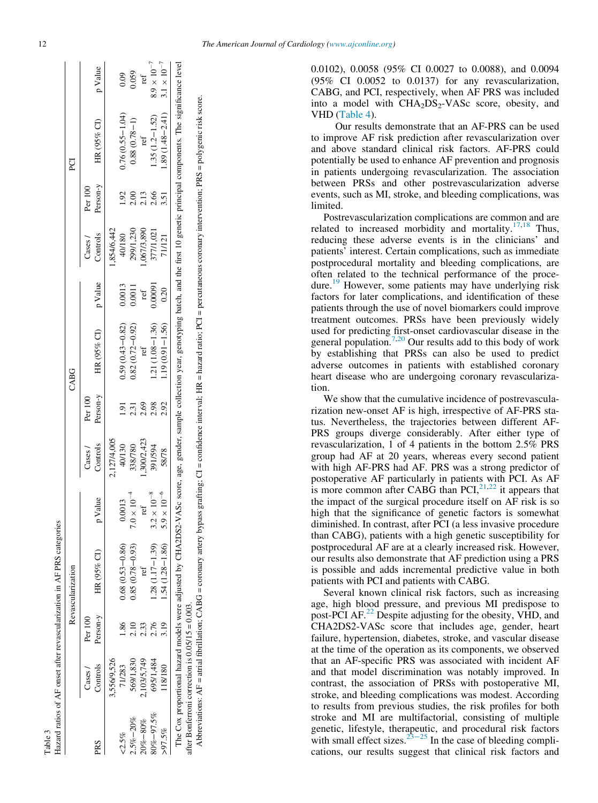|                |                           |                     | Revascularization   |                      |                           |                     | CABG                  |         |                           |                     | ECI                 |                    |
|----------------|---------------------------|---------------------|---------------------|----------------------|---------------------------|---------------------|-----------------------|---------|---------------------------|---------------------|---------------------|--------------------|
| PRS            | Controls<br>$\text{Case}$ | Person-y<br>Per 100 | HR (95% CI)         | p Value              | Controls<br>$\text{Case}$ | Person-y<br>Per 100 | HR (95% CI) $p$ Value |         | Controls<br>$\text{Case}$ | Person-y<br>Per 100 | HR (95% CI)         | p Value            |
|                | 3,556/9,526               |                     |                     |                      | 2,127/4,005               |                     |                       |         | 1,854/6,442               |                     |                     |                    |
| &2.5%          | 71/283                    | 1.86                | $0.68(0.53 - 0.86)$ | 0.0013               | 40/130                    |                     | $0.59(0.43 - 0.82)$   | 0.0013  | 40/180                    | $\overline{6}$      | $0.76(0.55 - 1.04)$ | 0.09               |
| $2.5\% - 20\%$ | 569/1.830                 | ີ້.<br>ລ            | $0.85(0.78 - 0.93)$ | $7.0\times10^{-4}$   | 338/780                   | 2.31                | $0.82(0.72 - 0.92)$   | 0.0011  | 299/1,230                 | 2.00                | $0.88(0.78 - 1)$    | 0.059              |
| $20\% - 80\%$  | 2,103/5,749               | 2.33                | ref                 | ref                  | 300/2,423                 | 2.69                | ref                   | ref     | ,067/3,890                | 2.13                | ref                 | ref                |
| 30%-97.5%      | 695/1.484                 | 2.76                | $1.28(1.17 - 1.39)$ | $3.2 \times 10^{-8}$ | 391/594                   | 2.98                | $1.21(1.08 - 1.36)$   | 0.00091 | 377/1,021                 | 2.66                | $1.35(1.2 - 1.52)$  | $8.9\times10^{-7}$ |
| $-97.5%$       | 18/180                    | 3.19                | $1.54(1.28 - 1.86)$ | $-01 \times 6$       | 58/78                     | 2.92                | $1.19(0.91 - 1.56)$   | 0.20    | 71/121                    | 3.51                | $1.89(1.48 - 2.41)$ | $3.1\times10^{-7}$ |

Table 3

 $PCI =$  percutaneous coronary intervention;  $PRS =$  polygenic risk score. Abbreviations: AF = atrial fibrillation; CABG = coronary artery bypass grafting; CI = confidence interval; HR = hazard ratio; PCI = percutaneous coronary intervention; PRS = polygenic risk score. = hazard ratio; Abbreviations:  $AF = artial$  fibrillation;  $CABC = \text{coronary}$  artery bypass grafting;  $CI = \text{confidence interval}$ ;  $HR$ after Bonferroni correction is  $0.05/15 = 0.003$ . after Bonferroni correction is  $0.05/15 = 0.003$ .

<span id="page-3-0"></span>12 The American Journal of Cardiology (<www.ajconline.org>)

0.0102), 0.0058 (95% CI 0.0027 to 0.0088), and 0.0094 (95% CI 0.0052 to 0.0137) for any revascularization, CABG, and PCI, respectively, when AF PRS was included into a model with  $CHA<sub>2</sub>DS<sub>2</sub>-VASc$  score, obesity, and VHD [\(Table 4](#page-4-2)).

Our results demonstrate that an AF-PRS can be used to improve AF risk prediction after revascularization over and above standard clinical risk factors. AF-PRS could potentially be used to enhance AF prevention and prognosis in patients undergoing revascularization. The association between PRSs and other postrevascularization adverse events, such as MI, stroke, and bleeding complications, was limited.

Postrevascularization complications are common and are related to increased morbidity and mortality.<sup>[17,](#page-5-13)[18](#page-5-14)</sup> Thus, reducing these adverse events is in the clinicians' and patients' interest. Certain complications, such as immediate postprocedural mortality and bleeding complications, are often related to the technical performance of the proce-dure.<sup>[19](#page-5-15)</sup> However, some patients may have underlying risk factors for later complications, and identification of these patients through the use of novel biomarkers could improve treatment outcomes. PRSs have been previously widely used for predicting first-onset cardiovascular disease in the general population.<sup>[7](#page-5-4),[20](#page-5-16)</sup> Our results add to this body of work by establishing that PRSs can also be used to predict adverse outcomes in patients with established coronary heart disease who are undergoing coronary revascularization.

We show that the cumulative incidence of postrevascularization new-onset AF is high, irrespective of AF-PRS status. Nevertheless, the trajectories between different AF-PRS groups diverge considerably. After either type of revascularization, 1 of 4 patients in the bottom 2.5% PRS group had AF at 20 years, whereas every second patient with high AF-PRS had AF. PRS was a strong predictor of postoperative AF particularly in patients with PCI. As AF is more common after CABG than PCI, $^{21,22}$  $^{21,22}$  $^{21,22}$  $^{21,22}$  it appears that the impact of the surgical procedure itself on AF risk is so high that the significance of genetic factors is somewhat diminished. In contrast, after PCI (a less invasive procedure than CABG), patients with a high genetic susceptibility for postprocedural AF are at a clearly increased risk. However, our results also demonstrate that AF prediction using a PRS is possible and adds incremental predictive value in both patients with PCI and patients with CABG.

Several known clinical risk factors, such as increasing age, high blood pressure, and previous MI predispose to post-PCI AF.<sup>[22](#page-5-18)</sup> Despite adjusting for the obesity, VHD, and CHA2DS2-VASc score that includes age, gender, heart failure, hypertension, diabetes, stroke, and vascular disease at the time of the operation as its components, we observed that an AF-specific PRS was associated with incident AF and that model discrimination was notably improved. In contrast, the association of PRSs with postoperative MI, stroke, and bleeding complications was modest. According to results from previous studies, the risk profiles for both stroke and MI are multifactorial, consisting of multiple genetic, lifestyle, ther[apeut](#page-5-19)ic, and procedural risk factors with small effect sizes.<sup>23−25</sup> In the case of bleeding complications, our results suggest that clinical risk factors and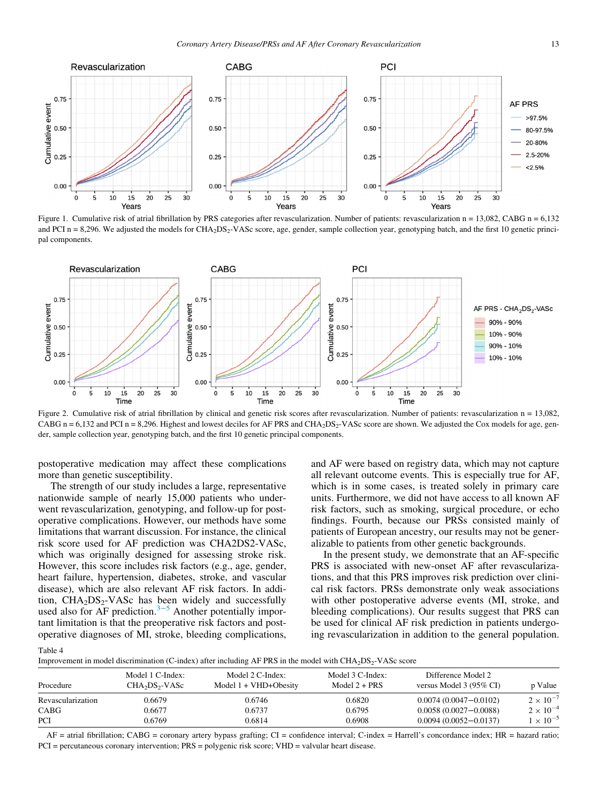<span id="page-4-0"></span>

Figure 1. Cumulative risk of atrial fibrillation by PRS categories after revascularization. Number of patients: revascularization n = 13,082, CABG n = 6,132 and PCI n = 8,296. We adjusted the models for CHA<sub>2</sub>DS<sub>2</sub>-VASc score, age, gender, sample collection year, genotyping batch, and the first 10 genetic principal components.

<span id="page-4-1"></span>

Figure 2. Cumulative risk of atrial fibrillation by clinical and genetic risk scores after revascularization. Number of patients: revascularization n = 13,082, CABG n = 6,132 and PCI n = 8,296. Highest and lowest deciles for AF PRS and CHA<sub>2</sub>DS<sub>2</sub>-VASc score are shown. We adjusted the Cox models for age, gender, sample collection year, genotyping batch, and the first 10 genetic principal components.

postoperative medication may affect these complications more than genetic susceptibility.

The strength of our study includes a large, representative nationwide sample of nearly 15,000 patients who underwent revascularization, genotyping, and follow-up for postoperative complications. However, our methods have some limitations that warrant discussion. For instance, the clinical risk score used for AF prediction was CHA2DS2-VASc, which was originally designed for assessing stroke risk. However, this score includes risk factors (e.g., age, gender, heart failure, hypertension, diabetes, stroke, and vascular disease), which are also relevant AF risk factors. In addition,  $CHA<sub>2</sub>DS<sub>2</sub>-VASc$  has [bee](#page-5-2)n widely and successfully used also for AF prediction.<sup>3−5</sup> Another potentially important limitation is that the preoperative risk factors and postoperative diagnoses of MI, stroke, bleeding complications, and AF were based on registry data, which may not capture all relevant outcome events. This is especially true for AF, which is in some cases, is treated solely in primary care units. Furthermore, we did not have access to all known AF risk factors, such as smoking, surgical procedure, or echo findings. Fourth, because our PRSs consisted mainly of patients of European ancestry, our results may not be generalizable to patients from other genetic backgrounds.

In the present study, we demonstrate that an AF-specific PRS is associated with new-onset AF after revascularizations, and that this PRS improves risk prediction over clinical risk factors. PRSs demonstrate only weak associations with other postoperative adverse events (MI, stroke, and bleeding complications). Our results suggest that PRS can be used for clinical AF risk prediction in patients undergoing revascularization in addition to the general population.

<span id="page-4-2"></span>Table 4

Improvement in model discrimination (C-index) after including AF PRS in the model with  $CHA<sub>2</sub>DS<sub>2</sub>-VASc$  score

| Procedure         | Model 1 C-Index:<br>$CHA2DS2-VASc$ | Model 2 C-Index:<br>Model $1 + VHD+Obesity$ | Model 3 C-Index:<br>Model $2 + PRS$ | Difference Model 2<br>versus Model 3 (95% CI) | p Value            |
|-------------------|------------------------------------|---------------------------------------------|-------------------------------------|-----------------------------------------------|--------------------|
| Revascularization | 0.6679                             | 0.6746                                      | 0.6820                              | $0.0074(0.0047 - 0.0102)$                     | $2 \times 10^{-7}$ |
| <b>CABG</b>       | 0.6677                             | 0.6737                                      | 0.6795                              | $0.0058(0.0027 - 0.0088)$                     | $2 \times 10^{-4}$ |
| <b>PCI</b>        | 0.6769                             | 0.6814                                      | 0.6908                              | $0.0094(0.0052 - 0.0137)$                     | $1 \times 10^{-5}$ |

AF = atrial fibrillation; CABG = coronary artery bypass grafting; CI = confidence interval; C-index = Harrell's concordance index; HR = hazard ratio; PCI = percutaneous coronary intervention; PRS = polygenic risk score; VHD = valvular heart disease.